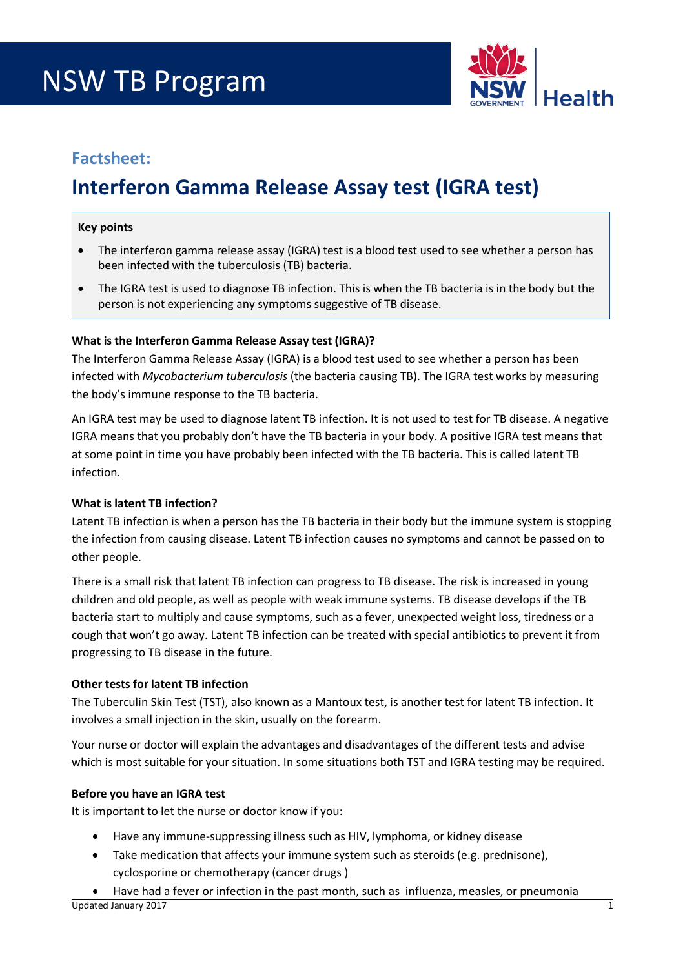# NSW TB Program



### **Factsheet:**

## **Interferon Gamma Release Assay test (IGRA test)**

#### **Key points**

- The interferon gamma release assay (IGRA) test is a blood test used to see whether a person has been infected with the tuberculosis (TB) bacteria.
- The IGRA test is used to diagnose TB infection. This is when the TB bacteria is in the body but the person is not experiencing any symptoms suggestive of TB disease.

#### **What is the Interferon Gamma Release Assay test (IGRA)?**

The Interferon Gamma Release Assay (IGRA) is a blood test used to see whether a person has been infected with *Mycobacterium tuberculosis* (the bacteria causing TB). The IGRA test works by measuring the body's immune response to the TB bacteria.

An IGRA test may be used to diagnose latent TB infection. It is not used to test for TB disease. A negative IGRA means that you probably don't have the TB bacteria in your body. A positive IGRA test means that at some point in time you have probably been infected with the TB bacteria. This is called latent TB infection.

#### **What is latent TB infection?**

Latent TB infection is when a person has the TB bacteria in their body but the immune system is stopping the infection from causing disease. Latent TB infection causes no symptoms and cannot be passed on to other people.

There is a small risk that latent TB infection can progress to TB disease. The risk is increased in young children and old people, as well as people with weak immune systems. TB disease develops if the TB bacteria start to multiply and cause symptoms, such as a fever, unexpected weight loss, tiredness or a cough that won't go away. Latent TB infection can be treated with special antibiotics to prevent it from progressing to TB disease in the future.

#### **Other tests for latent TB infection**

The Tuberculin Skin Test (TST), also known as a Mantoux test, is another test for latent TB infection. It involves a small injection in the skin, usually on the forearm.

Your nurse or doctor will explain the advantages and disadvantages of the different tests and advise which is most suitable for your situation. In some situations both TST and IGRA testing may be required.

#### **Before you have an IGRA test**

It is important to let the nurse or doctor know if you:

- Have any immune-suppressing illness such as HIV, lymphoma, or kidney disease
- Take medication that affects your immune system such as steroids (e.g. prednisone), cyclosporine or chemotherapy (cancer drugs )
- Have had a fever or infection in the past month, such as influenza, measles, or pneumonia Updated January 2017 1